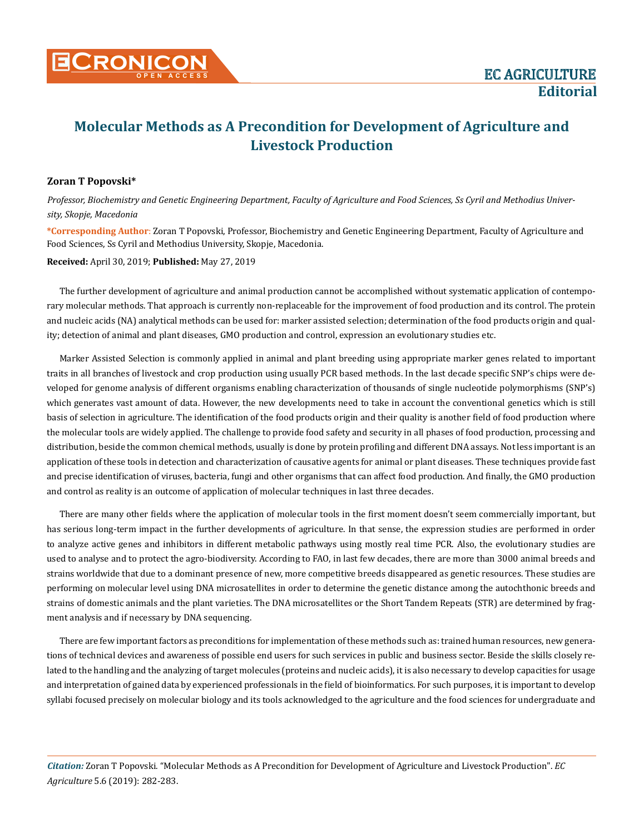

## **Molecular Methods as A Precondition for Development of Agriculture and Livestock Production**

## **Zoran T Popovski\***

*Professor, Biochemistry and Genetic Engineering Department, Faculty of Agriculture and Food Sciences, Ss Cyril and Methodius University, Skopje, Macedonia* 

**\*Corresponding Author**: Zoran T Popovski, Professor, Biochemistry and Genetic Engineering Department, Faculty of Agriculture and Food Sciences, Ss Cyril and Methodius University, Skopje, Macedonia.

**Received:** April 30, 2019; **Published:** May 27, 2019

The further development of agriculture and animal production cannot be accomplished without systematic application of contemporary molecular methods. That approach is currently non-replaceable for the improvement of food production and its control. The protein and nucleic acids (NA) analytical methods can be used for: marker assisted selection; determination of the food products origin and quality; detection of animal and plant diseases, GMO production and control, expression an evolutionary studies etc.

Marker Assisted Selection is commonly applied in animal and plant breeding using appropriate marker genes related to important traits in all branches of livestock and crop production using usually PCR based methods. In the last decade specific SNP's chips were developed for genome analysis of different organisms enabling characterization of thousands of single nucleotide polymorphisms (SNP's) which generates vast amount of data. However, the new developments need to take in account the conventional genetics which is still basis of selection in agriculture. The identification of the food products origin and their quality is another field of food production where the molecular tools are widely applied. The challenge to provide food safety and security in all phases of food production, processing and distribution, beside the common chemical methods, usually is done by protein profiling and different DNA assays. Not less important is an application of these tools in detection and characterization of causative agents for animal or plant diseases. These techniques provide fast and precise identification of viruses, bacteria, fungi and other organisms that can affect food production. And finally, the GMO production and control as reality is an outcome of application of molecular techniques in last three decades.

There are many other fields where the application of molecular tools in the first moment doesn't seem commercially important, but has serious long-term impact in the further developments of agriculture. In that sense, the expression studies are performed in order to analyze active genes and inhibitors in different metabolic pathways using mostly real time PCR. Also, the evolutionary studies are used to analyse and to protect the agro-biodiversity. According to FAO, in last few decades, there are more than 3000 animal breeds and strains worldwide that due to a dominant presence of new, more competitive breeds disappeared as genetic resources. These studies are performing on molecular level using DNA microsatellites in order to determine the genetic distance among the autochthonic breeds and strains of domestic animals and the plant varieties. The DNA microsatellites or the Short Tandem Repeats (STR) are determined by fragment analysis and if necessary by DNA sequencing.

There are few important factors as preconditions for implementation of these methods such as: trained human resources, new generations of technical devices and awareness of possible end users for such services in public and business sector. Beside the skills closely related to the handling and the analyzing of target molecules (proteins and nucleic acids), it is also necessary to develop capacities for usage and interpretation of gained data by experienced professionals in the field of bioinformatics. For such purposes, it is important to develop syllabi focused precisely on molecular biology and its tools acknowledged to the agriculture and the food sciences for undergraduate and

*Citation:* Zoran T Popovski*.* "Molecular Methods as A Precondition for Development of Agriculture and Livestock Production". *EC Agriculture* 5.6 (2019): 282-283.